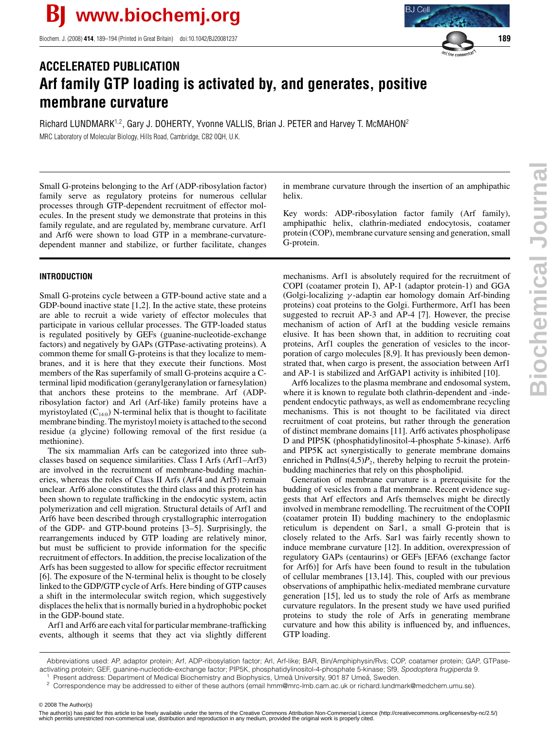Biochem. J. (2008) **414**, 189–194 (Printed in Great Britain) doi:10.1042/BJ20081237 **189**

# **ACCELERATED PUBLICATION Arf family GTP loading is activated by, and generates, positive membrane curvature**

Richard LUNDMARK1<sup>,2</sup>, Gary J. DOHERTY, Yvonne VALLIS, Brian J. PETER and Harvey T. McMAHON<sup>2</sup> MRC Laboratory of Molecular Biology, Hills Road, Cambridge, CB2 0QH, U.K.

Small G-proteins belonging to the Arf (ADP-ribosylation factor) family serve as regulatory proteins for numerous cellular processes through GTP-dependent recruitment of effector molecules. In the present study we demonstrate that proteins in this family regulate, and are regulated by, membrane curvature. Arf1 and Arf6 were shown to load GTP in a membrane-curvaturedependent manner and stabilize, or further facilitate, changes

## **INTRODUCTION**

Small G-proteins cycle between a GTP-bound active state and a GDP-bound inactive state [1,2]. In the active state, these proteins are able to recruit a wide variety of effector molecules that participate in various cellular processes. The GTP-loaded status is regulated positively by GEFs (guanine-nucleotide-exchange factors) and negatively by GAPs (GTPase-activating proteins). A common theme for small G-proteins is that they localize to membranes, and it is here that they execute their functions. Most members of the Ras superfamily of small G-proteins acquire a Cterminal lipid modification (geranylgeranylation or farnesylation) that anchors these proteins to the membrane. Arf (ADPribosylation factor) and Arl (Arf-like) family proteins have a myristoylated  $(C_{14:0})$  N-terminal helix that is thought to facilitate membrane binding. The myristoyl moiety is attached to the second residue (a glycine) following removal of the first residue (a methionine).

The six mammalian Arfs can be categorized into three subclasses based on sequence similarities. Class I Arfs (Arf1–Arf3) are involved in the recruitment of membrane-budding machineries, whereas the roles of Class II Arfs (Arf4 and Arf5) remain unclear. Arf6 alone constitutes the third class and this protein has been shown to regulate trafficking in the endocytic system, actin polymerization and cell migration. Structural details of Arf1 and Arf6 have been described through crystallographic interrogation of the GDP- and GTP-bound proteins [3–5]. Surprisingly, the rearrangements induced by GTP loading are relatively minor, but must be sufficient to provide information for the specific recruitment of effectors. In addition, the precise localization of the Arfs has been suggested to allow for specific effector recruitment [6]. The exposure of the N-terminal helix is thought to be closely linked to the GDP/GTP cycle of Arfs. Here binding of GTP causes a shift in the intermolecular switch region, which suggestively displaces the helix that is normally buried in a hydrophobic pocket in the GDP-bound state.

Arf1 and Arf6 are each vital for particular membrane-trafficking events, although it seems that they act via slightly different in membrane curvature through the insertion of an amphipathic helix.

Key words: ADP-ribosylation factor family (Arf family), amphipathic helix, clathrin-mediated endocytosis, coatamer protein (COP), membrane curvature sensing and generation, small G-protein.

mechanisms. Arf1 is absolutely required for the recruitment of COPI (coatamer protein I), AP-1 (adaptor protein-1) and GGA (Golgi-localizing γ -adaptin ear homology domain Arf-binding proteins) coat proteins to the Golgi. Furthermore, Arf1 has been suggested to recruit AP-3 and AP-4 [7]. However, the precise mechanism of action of Arf1 at the budding vesicle remains elusive. It has been shown that, in addition to recruiting coat proteins, Arf1 couples the generation of vesicles to the incorporation of cargo molecules [8,9]. It has previously been demonstrated that, when cargo is present, the association between Arf1 and AP-1 is stabilized and ArfGAP1 activity is inhibited [10].

Arf6 localizes to the plasma membrane and endosomal system, where it is known to regulate both clathrin-dependent and -independent endocytic pathways, as well as endomembrane recycling mechanisms. This is not thought to be facilitated via direct recruitment of coat proteins, but rather through the generation of distinct membrane domains [11]. Arf6 activates phospholipase D and PIP5K (phosphatidylinositol-4-phosphate 5-kinase). Arf6 and PIP5K act synergistically to generate membrane domains enriched in PtdIns $(4,5)P_2$ , thereby helping to recruit the proteinbudding machineries that rely on this phospholipid.

Generation of membrane curvature is a prerequisite for the budding of vesicles from a flat membrane. Recent evidence suggests that Arf effectors and Arfs themselves might be directly involved in membrane remodelling. The recruitment of the COPII (coatamer protein II) budding machinery to the endoplasmic reticulum is dependent on Sar1, a small G-protein that is closely related to the Arfs. Sar1 was fairly recently shown to induce membrane curvature [12]. In addition, overexpression of regulatory GAPs (centaurins) or GEFs [EFA6 (exchange factor for Arf6)] for Arfs have been found to result in the tubulation of cellular membranes [13,14]. This, coupled with our previous observations of amphipathic helix-mediated membrane curvature generation [15], led us to study the role of Arfs as membrane curvature regulators. In the present study we have used purified proteins to study the role of Arfs in generating membrane curvature and how this ability is influenced by, and influences, GTP loading.

© 2008 The Author(s)



Abbreviations used: AP, adaptor protein; Arf, ADP-ribosylation factor; Arl, Arf-like; BAR, Bin/Amphiphysin/Rvs; COP, coatamer protein; GAP, GTPaseactivating protein; GEF, guanine-nucleotide-exchange factor; PIP5K, phosphatidylinositol-4-phosphate 5-kinase; Sf9, Spodoptera frugiperda 9.

Present address: Department of Medical Biochemistry and Biophysics, Umeå University, 901 87 Umeå, Sweden.

<sup>2</sup> Correspondence may be addressed to either of these authors (email hmm@mrc-lmb.cam.ac.uk or richard.lundmark@medchem.umu.se).

<sup>© 2008</sup> The Author(s)<br>The author(s) has paid for this article to be freely available under the terms of the Creative Commons Attribution Non-Commercial Licence (http://creativecommons.org/licenses/by-nc/2.5/) which permits unrestricted non-commerical use, distribution and reproduction in any medium, provided the original work is properly cited.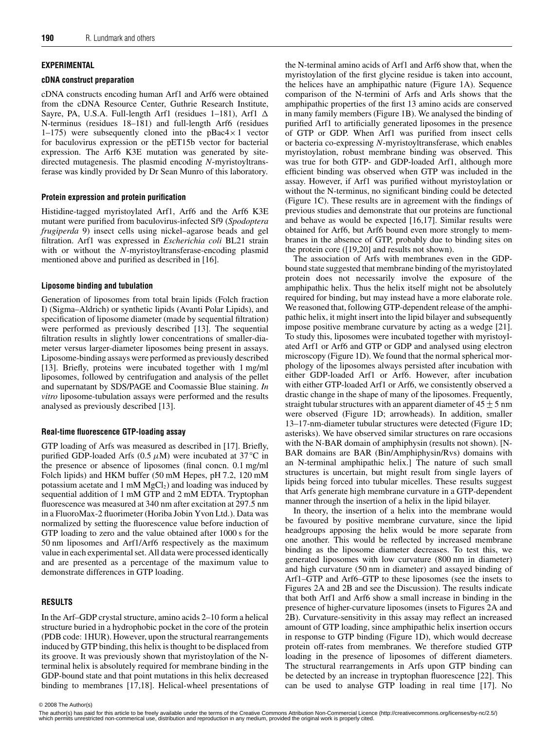## **EXPERIMENTAL**

#### **cDNA construct preparation**

cDNA constructs encoding human Arf1 and Arf6 were obtained from the cDNA Resource Center, Guthrie Research Institute, Sayre, PA, U.S.A. Full-length Arf1 (residues 1–181), Arf1  $\Delta$ N-terminus (residues 18–181) and full-length Arf6 (residues 1–175) were subsequently cloned into the  $p$ Bac4 $\times$ 1 vector for baculovirus expression or the pET15b vector for bacterial expression. The Arf6 K3E mutation was generated by sitedirected mutagenesis. The plasmid encoding *N*-myristoyltransferase was kindly provided by Dr Sean Munro of this laboratory.

### **Protein expression and protein purification**

Histidine-tagged myristoylated Arf1, Arf6 and the Arf6 K3E mutant were purified from baculovirus-infected Sf9 (*Spodoptera frugiperda* 9) insect cells using nickel–agarose beads and gel filtration. Arf1 was expressed in *Escherichia coli* BL21 strain with or without the *N*-myristoyltransferase-encoding plasmid mentioned above and purified as described in [16].

## **Liposome binding and tubulation**

Generation of liposomes from total brain lipids (Folch fraction I) (Sigma–Aldrich) or synthetic lipids (Avanti Polar Lipids), and specification of liposome diameter (made by sequential filtration) were performed as previously described [13]. The sequential filtration results in slightly lower concentrations of smaller-diameter versus larger-diameter liposomes being present in assays. Liposome-binding assays were performed as previously described [13]. Briefly, proteins were incubated together with 1 mg/ml liposomes, followed by centrifugation and analysis of the pellet and supernatant by SDS/PAGE and Coomassie Blue staining. *In vitro* liposome-tubulation assays were performed and the results analysed as previously described [13].

### **Real-time fluorescence GTP-loading assay**

GTP loading of Arfs was measured as described in [17]. Briefly, purified GDP-loaded Arfs ( $0.5 \mu M$ ) were incubated at  $37 \, \textdegree C$  in the presence or absence of liposomes (final concn. 0.1 mg/ml Folch lipids) and HKM buffer (50 mM Hepes, pH 7.2, 120 mM potassium acetate and  $1 \text{ mM MgCl}_2$ ) and loading was induced by sequential addition of 1 mM GTP and 2 mM EDTA. Tryptophan fluorescence was measured at 340 nm after excitation at 297.5 nm in a FluoroMax-2 fluorimeter (Horiba Jobin Yvon Ltd.). Data was normalized by setting the fluorescence value before induction of GTP loading to zero and the value obtained after 1000 s for the 50 nm liposomes and Arf1/Arf6 respectively as the maximum value in each experimental set. All data were processed identically and are presented as a percentage of the maximum value to demonstrate differences in GTP loading.

### **RESULTS**

In the Arf–GDP crystal structure, amino acids 2–10 form a helical structure buried in a hydrophobic pocket in the core of the protein (PDB code: 1HUR). However, upon the structural rearrangements induced by GTP binding, this helix is thought to be displaced from its groove. It was previously shown that myristoylation of the Nterminal helix is absolutely required for membrane binding in the GDP-bound state and that point mutations in this helix decreased binding to membranes [17,18]. Helical-wheel presentations of the N-terminal amino acids of Arf1 and Arf6 show that, when the myristoylation of the first glycine residue is taken into account, the helices have an amphipathic nature (Figure 1A). Sequence comparison of the N-termini of Arfs and Arls shows that the amphipathic properties of the first 13 amino acids are conserved in many family members (Figure 1B). We analysed the binding of purified Arf1 to artificially generated liposomes in the presence of GTP or GDP. When Arf1 was purified from insect cells or bacteria co-expressing *N*-myristoyltransferase, which enables myristoylation, robust membrane binding was observed. This was true for both GTP- and GDP-loaded Arf1, although more efficient binding was observed when GTP was included in the assay. However, if Arf1 was purified without myristoylation or without the N-terminus, no significant binding could be detected (Figure 1C). These results are in agreement with the findings of previous studies and demonstrate that our proteins are functional and behave as would be expected [16,17]. Similar results were obtained for Arf6, but Arf6 bound even more strongly to membranes in the absence of GTP, probably due to binding sites on the protein core ([19,20] and results not shown).

The association of Arfs with membranes even in the GDPbound state suggested that membrane binding of the myristoylated protein does not necessarily involve the exposure of the amphipathic helix. Thus the helix itself might not be absolutely required for binding, but may instead have a more elaborate role. We reasoned that, following GTP-dependent release of the amphipathic helix, it might insert into the lipid bilayer and subsequently impose positive membrane curvature by acting as a wedge [21]. To study this, liposomes were incubated together with myristoylated Arf1 or Arf6 and GTP or GDP and analysed using electron microscopy (Figure 1D). We found that the normal spherical morphology of the liposomes always persisted after incubation with either GDP-loaded Arf1 or Arf6. However, after incubation with either GTP-loaded Arf1 or Arf6, we consistently observed a drastic change in the shape of many of the liposomes. Frequently, straight tubular structures with an apparent diameter of  $45 \pm 5$  nm were observed (Figure 1D; arrowheads). In addition, smaller 13–17-nm-diameter tubular structures were detected (Figure 1D; asterisks). We have observed similar structures on rare occasions with the N-BAR domain of amphiphysin (results not shown). [N-BAR domains are BAR (Bin/Amphiphysin/Rvs) domains with an N-terminal amphipathic helix.] The nature of such small structures is uncertain, but might result from single layers of lipids being forced into tubular micelles. These results suggest that Arfs generate high membrane curvature in a GTP-dependent manner through the insertion of a helix in the lipid bilayer.

In theory, the insertion of a helix into the membrane would be favoured by positive membrane curvature, since the lipid headgroups apposing the helix would be more separate from one another. This would be reflected by increased membrane binding as the liposome diameter decreases. To test this, we generated liposomes with low curvature (800 nm in diameter) and high curvature (50 nm in diameter) and assayed binding of Arf1–GTP and Arf6–GTP to these liposomes (see the insets to Figures 2A and 2B and see the Discussion). The results indicate that both Arf1 and Arf6 show a small increase in binding in the presence of higher-curvature liposomes (insets to Figures 2A and 2B). Curvature-sensitivity in this assay may reflect an increased amount of GTP loading, since amphipathic helix insertion occurs in response to GTP binding (Figure 1D), which would decrease protein off-rates from membranes. We therefore studied GTP loading in the presence of liposomes of different diameters. The structural rearrangements in Arfs upon GTP binding can be detected by an increase in tryptophan fluorescence [22]. This can be used to analyse GTP loading in real time [17]. No

<sup>© 2008</sup> The Author(s)<br>The author(s) has paid for this article to be freely available under the terms of the Creative Commons Attribution Non-Commercial Licence (http://creativecommons.org/licenses/by-nc/2.5/) which permits unrestricted non-commerical use, distribution and reproduction in any medium, provided the original work is properly cited.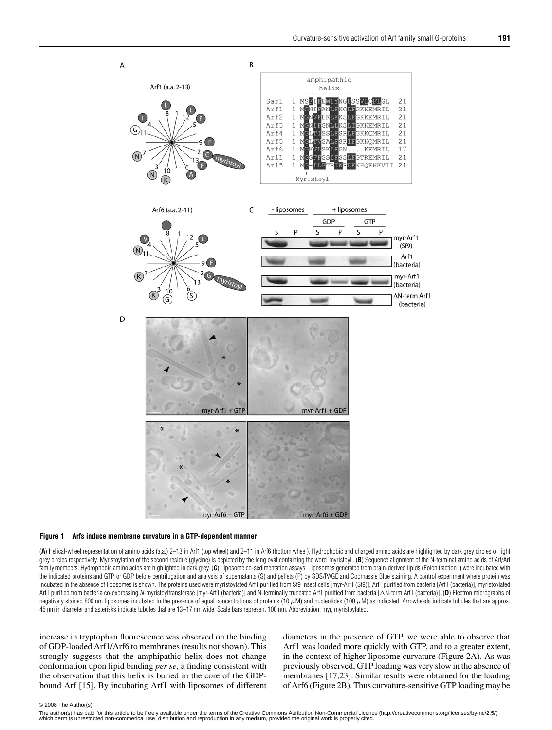

#### **Figure 1 Arfs induce membrane curvature in a GTP-dependent manner**

(**A**) Helical-wheel representation of amino acids (a.a.) 2–13 in Arf1 (top wheel) and 2–11 in Arf6 (bottom wheel). Hydrophobic and charged amino acids are highlighted by dark grey circles or light grey circles respectively. Myristoylation of the second residue (glycine) is depicted by the long oval containing the word 'myristoyl'. (**B**) Sequence alignment of the N-terminal amino acids of Arf/Arl family members. Hydrophobic amino acids are highlighted in dark grey. (**C**) Liposome co-sedimentation assays. Liposomes generated from brain-derived lipids (Folch fraction I) were incubated with the indicated proteins and GTP or GDP before centrifugation and analysis of supernatants (S) and pellets (P) by SDS/PAGE and Coomassie Blue staining. A control experiment where protein was incubated in the absence of liposomes is shown. The proteins used were myristoylated Arf1 purified from Sf9 insect cells [myr-Arf1 (Sf9)], Arf1 purified from bacteria [Arf1 (bacteria)], myristoylated Arf1 purified from bacteria co-expressing N-myristoyltransferase [myr-Arf1 (bacteria)] and N-terminally truncated Arf1 purified from bacteria [AN-term Arf1 (bacteria)]. (D) Electron micrographs of negatively stained 800 nm liposomes incubated in the presence of equal concentrations of proteins (10 μM) and nucleotides (100 μM) as indicated. Arrowheads indicate tubules that are approx. 45 nm in diameter and asterisks indicate tubules that are 13–17 nm wide. Scale bars represent 100 nm. Abbreviation: myr, myristoylated.

increase in tryptophan fluorescence was observed on the binding of GDP-loaded Arf1/Arf6 to membranes (results not shown). This strongly suggests that the amphipathic helix does not change conformation upon lipid binding *per se*, a finding consistent with the observation that this helix is buried in the core of the GDPbound Arf [15]. By incubating Arf1 with liposomes of different diameters in the presence of GTP, we were able to observe that Arf1 was loaded more quickly with GTP, and to a greater extent, in the context of higher liposome curvature (Figure 2A). As was previously observed, GTP loading was very slow in the absence of membranes [17,23]. Similar results were obtained for the loading of Arf6 (Figure 2B). Thus curvature-sensitive GTP loading may be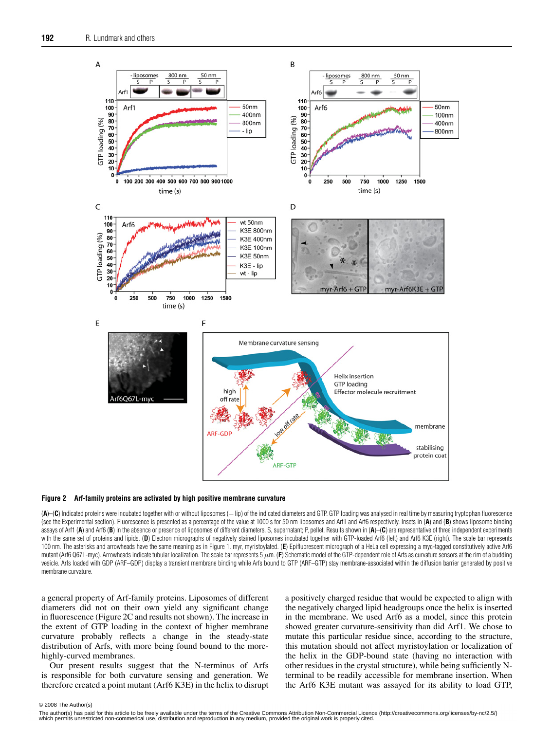

#### **Figure 2 Arf-family proteins are activated by high positive membrane curvature**

(**A**)–(**C**) Indicated proteins were incubated together with or without liposomes (−lip) of the indicated diameters and GTP. GTP loading was analysed in real time by measuring tryptophan fluorescence (see the Experimental section). Fluorescence is presented as a percentage of the value at 1000 s for 50 nm liposomes and Arf1 and Arf6 respectively. Insets in (**A**) and (**B**) shows liposome binding assays of Arf1 (A) and Arf6 (B) in the absence or presence of liposomes of different diameters. S, supernatant; P, pellet. Results shown in (A)–(C) are representative of three independent experiments with the same set of proteins and lipids. (D) Electron micrographs of negatively stained liposomes incubated together with GTP-loaded Arf6 (left) and Arf6 K3E (right). The scale bar represents 100 nm. The asterisks and arrowheads have the same meaning as in Figure 1. myr, myristoylated. (**E**) Epifluorescent micrograph of a HeLa cell expressing a myc-tagged constitutively active Arf6 mutant (Arf6 Q67L-myc). Arrowheads indicate tubular localization. The scale bar represents 5 μm. (**F**) Schematic model of the GTP-dependent role of Arfs as curvature sensors at the rim of a budding vesicle. Arfs loaded with GDP (ARF–GDP) display a transient membrane binding while Arfs bound to GTP (ARF–GTP) stay membrane-associated within the diffusion barrier generated by positive membrane curvature.

a general property of Arf-family proteins. Liposomes of different diameters did not on their own yield any significant change in fluorescence (Figure 2C and results not shown). The increase in the extent of GTP loading in the context of higher membrane curvature probably reflects a change in the steady-state distribution of Arfs, with more being found bound to the morehighly-curved membranes.

Our present results suggest that the N-terminus of Arfs is responsible for both curvature sensing and generation. We therefore created a point mutant (Arf6 K3E) in the helix to disrupt a positively charged residue that would be expected to align with the negatively charged lipid headgroups once the helix is inserted in the membrane. We used Arf6 as a model, since this protein showed greater curvature-sensitivity than did Arf1. We chose to mutate this particular residue since, according to the structure, this mutation should not affect myristoylation or localization of the helix in the GDP-bound state (having no interaction with other residues in the crystal structure), while being sufficiently Nterminal to be readily accessible for membrane insertion. When the Arf6 K3E mutant was assayed for its ability to load GTP,

<sup>© 2008</sup> The Author(s)<br>The author(s) has paid for this article to be freely available under the terms of the Creative Commons Attribution Non-Commercial Licence (http://creativecommons.org/licenses/by-nc/2.5/) which permits unrestricted non-commerical use, distribution and reproduction in any medium, provided the original work is properly cited.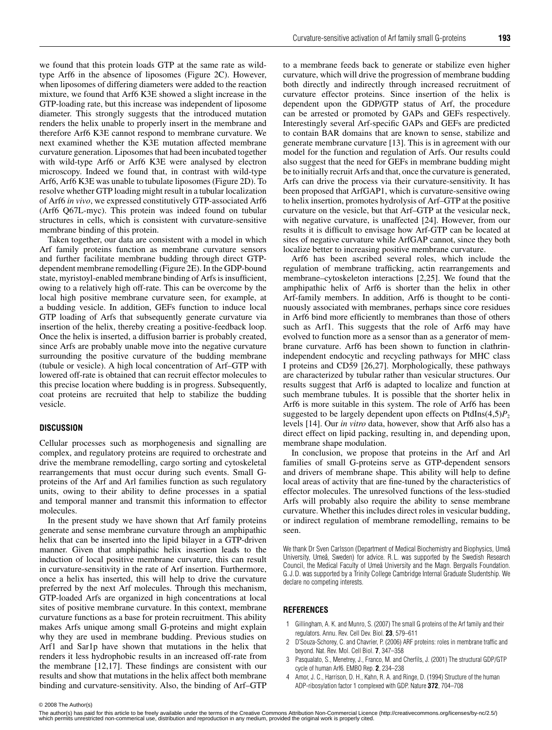we found that this protein loads GTP at the same rate as wildtype Arf6 in the absence of liposomes (Figure 2C). However, when liposomes of differing diameters were added to the reaction mixture, we found that Arf6 K3E showed a slight increase in the GTP-loading rate, but this increase was independent of liposome diameter. This strongly suggests that the introduced mutation renders the helix unable to properly insert in the membrane and therefore Arf6 K3E cannot respond to membrane curvature. We next examined whether the K3E mutation affected membrane curvature generation. Liposomes that had been incubated together with wild-type Arf6 or Arf6 K3E were analysed by electron microscopy. Indeed we found that, in contrast with wild-type Arf6, Arf6 K3E was unable to tubulate liposomes (Figure 2D). To resolve whether GTP loading might result in a tubular localization of Arf6 *in vivo*, we expressed constitutively GTP-associated Arf6 (Arf6 Q67L-myc). This protein was indeed found on tubular structures in cells, which is consistent with curvature-sensitive membrane binding of this protein.

Taken together, our data are consistent with a model in which Arf family proteins function as membrane curvature sensors and further facilitate membrane budding through direct GTPdependent membrane remodelling (Figure 2E). In the GDP-bound state, myristoyl-enabled membrane binding of Arfs is insufficient, owing to a relatively high off-rate. This can be overcome by the local high positive membrane curvature seen, for example, at a budding vesicle. In addition, GEFs function to induce local GTP loading of Arfs that subsequently generate curvature via insertion of the helix, thereby creating a positive-feedback loop. Once the helix is inserted, a diffusion barrier is probably created, since Arfs are probably unable move into the negative curvature surrounding the positive curvature of the budding membrane (tubule or vesicle). A high local concentration of Arf–GTP with lowered off-rate is obtained that can recruit effector molecules to this precise location where budding is in progress. Subsequently, coat proteins are recruited that help to stabilize the budding vesicle.

#### **DISCUSSION**

Cellular processes such as morphogenesis and signalling are complex, and regulatory proteins are required to orchestrate and drive the membrane remodelling, cargo sorting and cytoskeletal rearrangements that must occur during such events. Small Gproteins of the Arf and Arl families function as such regulatory units, owing to their ability to define processes in a spatial and temporal manner and transmit this information to effector molecules.

In the present study we have shown that Arf family proteins generate and sense membrane curvature through an amphipathic helix that can be inserted into the lipid bilayer in a GTP-driven manner. Given that amphipathic helix insertion leads to the induction of local positive membrane curvature, this can result in curvature-sensitivity in the rate of Arf insertion. Furthermore, once a helix has inserted, this will help to drive the curvature preferred by the next Arf molecules. Through this mechanism, GTP-loaded Arfs are organized in high concentrations at local sites of positive membrane curvature. In this context, membrane curvature functions as a base for protein recruitment. This ability makes Arfs unique among small G-proteins and might explain why they are used in membrane budding. Previous studies on Arf1 and Sar1p have shown that mutations in the helix that renders it less hydrophobic results in an increased off-rate from the membrane [12,17]. These findings are consistent with our results and show that mutations in the helix affect both membrane binding and curvature-sensitivity. Also, the binding of Arf–GTP to a membrane feeds back to generate or stabilize even higher curvature, which will drive the progression of membrane budding both directly and indirectly through increased recruitment of curvature effector proteins. Since insertion of the helix is dependent upon the GDP/GTP status of Arf, the procedure can be arrested or promoted by GAPs and GEFs respectively. Interestingly several Arf-specific GAPs and GEFs are predicted to contain BAR domains that are known to sense, stabilize and generate membrane curvature [13]. This is in agreement with our model for the function and regulation of Arfs. Our results could also suggest that the need for GEFs in membrane budding might be to initially recruit Arfs and that, once the curvature is generated, Arfs can drive the process via their curvature-sensitivity. It has been proposed that ArfGAP1, which is curvature-sensitive owing to helix insertion, promotes hydrolysis of Arf–GTP at the positive curvature on the vesicle, but that Arf–GTP at the vesicular neck, with negative curvature, is unaffected [24]. However, from our results it is difficult to envisage how Arf-GTP can be located at sites of negative curvature while ArfGAP cannot, since they both localize better to increasing positive membrane curvature.

Arf6 has been ascribed several roles, which include the regulation of membrane trafficking, actin rearrangements and membrane–cytoskeleton interactions [2,25]. We found that the amphipathic helix of Arf6 is shorter than the helix in other Arf-family members. In addition, Arf6 is thought to be continuously associated with membranes, perhaps since core residues in Arf6 bind more efficiently to membranes than those of others such as Arf1. This suggests that the role of Arf6 may have evolved to function more as a sensor than as a generator of membrane curvature. Arf6 has been shown to function in clathrinindependent endocytic and recycling pathways for MHC class I proteins and CD59 [26,27]. Morphologically, these pathways are characterized by tubular rather than vesicular structures. Our results suggest that Arf6 is adapted to localize and function at such membrane tubules. It is possible that the shorter helix in Arf6 is more suitable in this system. The role of Arf6 has been suggested to be largely dependent upon effects on  $PtdIns(4,5)P_2$ levels [14]. Our *in vitro* data, however, show that Arf6 also has a direct effect on lipid packing, resulting in, and depending upon, membrane shape modulation.

In conclusion, we propose that proteins in the Arf and Arl families of small G-proteins serve as GTP-dependent sensors and drivers of membrane shape. This ability will help to define local areas of activity that are fine-tuned by the characteristics of effector molecules. The unresolved functions of the less-studied Arfs will probably also require the ability to sense membrane curvature. Whether this includes direct roles in vesicular budding, or indirect regulation of membrane remodelling, remains to be seen.

We thank Dr Sven Carlsson (Department of Medical Biochemistry and Biophysics, Umeå University, Umeå, Sweden) for advice. R.L. was supported by the Swedish Research Council, the Medical Faculty of Umea University and the Magn. Bergvalls Foundation. G. J. D. was supported by a Trinity College Cambridge Internal Graduate Studentship. We declare no competing interests.

#### **REFERENCES**

- 1 Gillingham, A. K. and Munro, S. (2007) The small G proteins of the Arf family and their regulators. Annu. Rev. Cell Dev. Biol. **23**, 579–611
- 2 D'Souza-Schorey, C. and Chavrier, P. (2006) ARF proteins: roles in membrane traffic and beyond. Nat. Rev. Mol. Cell Biol. **7**, 347–358
- 3 Pasqualato, S., Menetrey, J., Franco, M. and Cherfils, J. (2001) The structural GDP/GTP cycle of human Arf6. EMBO Rep. **2**, 234–238
- 4 Amor, J. C., Harrison, D. H., Kahn, R. A. and Ringe, D. (1994) Structure of the human ADP-ribosylation factor 1 complexed with GDP. Nature **372**, 704–708

© 2008 The Author(s)<br>The author(s) has paid for this article to be freely available under the terms of the Creative Commons Attribution Non-Commercial Licence (http://creativecommons.org/licenses/by-nc/2.5/) which permits unrestricted non-commerical use, distribution and reproduction in any medium, provided the original work is properly cited.